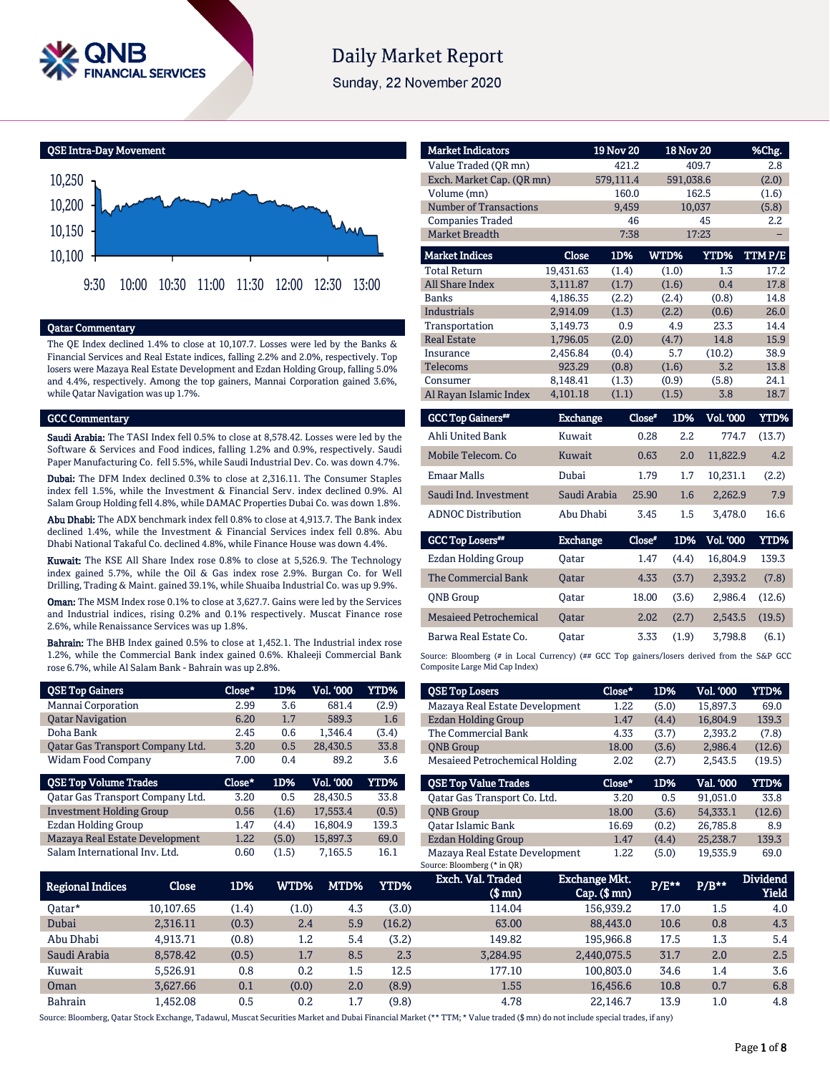

# **Daily Market Report**

Sunday, 22 November 2020

QSE Intra-Day Movement



#### Qatar Commentary

The QE Index declined 1.4% to close at 10,107.7. Losses were led by the Banks & Financial Services and Real Estate indices, falling 2.2% and 2.0%, respectively. Top losers were Mazaya Real Estate Development and Ezdan Holding Group, falling 5.0% and 4.4%, respectively. Among the top gainers, Mannai Corporation gained 3.6%, while Qatar Navigation was up 1.7%.

#### GCC Commentary

Saudi Arabia: The TASI Index fell 0.5% to close at 8,578.42. Losses were led by the Software & Services and Food indices, falling 1.2% and 0.9%, respectively. Saudi Paper Manufacturing Co. fell 5.5%, while Saudi Industrial Dev. Co. was down 4.7%.

Dubai: The DFM Index declined 0.3% to close at 2,316.11. The Consumer Staples index fell 1.5%, while the Investment & Financial Serv. index declined 0.9%. Al Salam Group Holding fell 4.8%, while DAMAC Properties Dubai Co. was down 1.8%.

Abu Dhabi: The ADX benchmark index fell 0.8% to close at 4,913.7. The Bank index declined 1.4%, while the Investment & Financial Services index fell 0.8%. Abu Dhabi National Takaful Co. declined 4.8%, while Finance House was down 4.4%.

Kuwait: The KSE All Share Index rose 0.8% to close at 5,526.9. The Technology index gained 5.7%, while the Oil & Gas index rose 2.9%. Burgan Co. for Well Drilling, Trading & Maint. gained 39.1%, while Shuaiba Industrial Co. was up 9.9%.

Oman: The MSM Index rose 0.1% to close at 3,627.7. Gains were led by the Services and Industrial indices, rising 0.2% and 0.1% respectively. Muscat Finance rose 2.6%, while Renaissance Services was up 1.8%.

Bahrain: The BHB Index gained 0.5% to close at 1,452.1. The Industrial index rose 1.2%, while the Commercial Bank index gained 0.6%. Khaleeji Commercial Bank rose 6.7%, while Al Salam Bank - Bahrain was up 2.8%.

| <b>QSE Top Gainers</b>           | Close* | 1D%   | Vol. '000 | <b>YTD%</b> |
|----------------------------------|--------|-------|-----------|-------------|
| Mannai Corporation               | 2.99   | 3.6   | 681.4     | (2.9)       |
| <b>Qatar Navigation</b>          | 6.20   | 1.7   | 589.3     | 1.6         |
| Doha Bank                        | 2.45   | 0.6   | 1,346.4   | (3.4)       |
| Qatar Gas Transport Company Ltd. | 3.20   | 0.5   | 28,430.5  | 33.8        |
| <b>Widam Food Company</b>        | 7.00   | 0.4   | 89.2      | 3.6         |
|                                  |        |       |           |             |
| <b>QSE Top Volume Trades</b>     | Close* | 1D%   | Vol. '000 | YTD%        |
| Qatar Gas Transport Company Ltd. | 3.20   | 0.5   | 28,430.5  | 33.8        |
| <b>Investment Holding Group</b>  | 0.56   | (1.6) | 17,553.4  | (0.5)       |
| Ezdan Holding Group              | 1.47   | (4.4) | 16,804.9  | 139.3       |
| Mazaya Real Estate Development   | 1.22   | (5.0) | 15,897.3  | 69.0        |

| <b>Market Indicators</b>      |                 | <b>19 Nov 20</b> |               | <b>18 Nov 20</b> | %Chg.       |
|-------------------------------|-----------------|------------------|---------------|------------------|-------------|
| Value Traded (OR mn)          |                 | 421.2            |               | 409.7            | 2.8         |
| Exch. Market Cap. (QR mn)     |                 | 579,111.4        |               | 591,038.6        | (2.0)       |
| Volume (mn)                   |                 | 160.0            |               | 162.5            | (1.6)       |
| <b>Number of Transactions</b> |                 | 9.459            |               | 10,037           | (5.8)       |
| <b>Companies Traded</b>       |                 | 46               |               | 45               | 2.2         |
| Market Breadth                |                 | 7:38             |               | 17:23            |             |
| <b>Market Indices</b>         | Close           | 1D%              | WTD%          | YTD%             | TTMP/E      |
| <b>Total Return</b>           | 19,431.63       | (1.4)            | (1.0)         | 1.3              | 17.2        |
| <b>All Share Index</b>        | 3,111.87        | (1.7)            | (1.6)         | 0.4              | 17.8        |
| <b>Banks</b>                  | 4,186.35        | (2.2)            | (2.4)         | (0.8)            | 14.8        |
| <b>Industrials</b>            | 2.914.09        | (1.3)            | (2.2)         | (0.6)            | 26.0        |
| Transportation                | 3,149.73        | 0.9              | 4.9           | 23.3             | 14.4        |
| <b>Real Estate</b>            | 1.796.05        | (2.0)            | (4.7)         | 14.8             | 15.9        |
| Insurance                     | 2.456.84        | (0.4)            | 5.7           | (10.2)           | 38.9        |
| <b>Telecoms</b>               | 923.29          | (0.8)            | (1.6)         | 3.2              | 13.8        |
| Consumer                      | 8.148.41        | (1.3)            | (0.9)         | (5.8)            | 24.1        |
| Al Rayan Islamic Index        | 4,101.18        | (1.1)            | (1.5)         | 3.8              | 18.7        |
| <b>GCC Top Gainers**</b>      | <b>Exchange</b> |                  | Close*<br>1D% | <b>Vol. '000</b> | <b>YTD%</b> |
| Ahli United Bank              | Kuwait          |                  | 0.28          | 2.2<br>774.7     | (13.7)      |
| Mobile Telecom, Co.           | Kuwait          |                  | 0.63          | 2.0<br>11,822.9  | 4.2         |
| <b>Emaar Malls</b>            | Dubai           |                  | 1.79          | 1.7<br>10,231.1  | (2.2)       |
| Saudi Ind. Investment         | Saudi Arabia    |                  | 25.90         | 1.6<br>2,262.9   | 7.9         |
| <b>ADNOC Distribution</b>     | Abu Dhabi       |                  | 3.45          | 1.5<br>3,478.0   | 16.6        |

| <b>GCC Top Losers</b>         | <b>Exchange</b> | Close* | 1D%   | <b>Vol. '000'</b> | YTD%   |
|-------------------------------|-----------------|--------|-------|-------------------|--------|
| <b>Ezdan Holding Group</b>    | Oatar           | 1.47   | (4.4) | 16.804.9          | 139.3  |
| The Commercial Bank           | <b>Oatar</b>    | 4.33   | (3.7) | 2.393.2           | (7.8)  |
| <b>ONB</b> Group              | Oatar           | 18.00  | (3.6) | 2.986.4           | (12.6) |
| <b>Mesaieed Petrochemical</b> | <b>Oatar</b>    | 2.02   | (2.7) | 2.543.5           | (19.5) |
| Barwa Real Estate Co.         | Oatar           | 3.33   | (1.9) | 3.798.8           | (6.1)  |

Source: Bloomberg (# in Local Currency) (## GCC Top gainers/losers derived from the S&P GCC Composite Large Mid Cap Index)

| <b>QSE Top Losers</b>                 | Close* | 1D%   | <b>Vol. '000</b> | YTD%   |
|---------------------------------------|--------|-------|------------------|--------|
| Mazaya Real Estate Development        | 1.22   | (5.0) | 15.897.3         | 69.0   |
| Ezdan Holding Group                   | 1.47   | (4.4) | 16.804.9         | 139.3  |
| The Commercial Bank                   | 4.33   | (3.7) | 2,393.2          | (7.8)  |
| <b>ONB Group</b>                      | 18.00  | (3.6) | 2.986.4          | (12.6) |
| <b>Mesaieed Petrochemical Holding</b> | 2.02   | (2.7) | 2,543.5          | (19.5) |
|                                       |        |       |                  |        |
| <b>OSE Top Value Trades</b>           | Close* | 1D%   | Val. '000        | YTD%   |
| Oatar Gas Transport Co. Ltd.          | 3.20   | 0.5   | 91.051.0         | 33.8   |
| <b>ONB</b> Group                      | 18.00  | (3.6) | 54.333.1         | (12.6) |
| Oatar Islamic Bank                    | 16.69  | (0.2) | 26,785.8         | 8.9    |
| Ezdan Holding Group                   | 1.47   | (4.4) | 25,238.7         | 139.3  |

| Regional Indices | Close     | 1D%   | WTD%' | MTD% | YTD%   | Exch. Val. Traded<br>$$$ mn $)$ | <b>Exchange Mkt.</b><br>$Cap.$ (\$ mn) | P/E** | $P/B**$ | <b>Dividend</b><br>Yield |
|------------------|-----------|-------|-------|------|--------|---------------------------------|----------------------------------------|-------|---------|--------------------------|
| Oatar*           | 10.107.65 | (1.4) | (1.0) | 4.3  | (3.0)  | 114.04                          | 156.939.2                              | 17.0  | 1.5     | 4.0                      |
| Dubai            | 2.316.11  | (0.3) | 2.4   | 5.9  | (16.2) | 63.00                           | 88,443.0                               | 10.6  | 0.8     | 4.3                      |
| Abu Dhabi        | 4.913.71  | (0.8) | 1.2   | 5.4  | (3.2)  | 149.82                          | 195.966.8                              | 17.5  | $1.3\,$ | 5.4                      |
| Saudi Arabia     | 8.578.42  | (0.5) | 1.7   | 8.5  | 2.3    | 3.284.95                        | 2.440.075.5                            | 31.7  | 2.0     | 2.5                      |
| Kuwait           | 5.526.91  | 0.8   | 0.2   | 1.5  | 12.5   | 177.10                          | 100.803.0                              | 34.6  | 1.4     | 3.6                      |
| Oman             | 3.627.66  | 0.1   | (0.0) | 2.0  | (8.9)  | 1.55                            | 16.456.6                               | 10.8  | 0.7     | 6.8                      |
| <b>Bahrain</b>   | L.452.08  | 0.5   | 0.2   | 1.7  | (9.8)  | 4.78                            | 22.146.7                               | 13.9  | 1.0     | 4.8                      |

Source: Bloomberg, Qatar Stock Exchange, Tadawul, Muscat Securities Market and Dubai Financial Market (\*\* TTM; \* Value traded (\$ mn) do not include special trades, if any)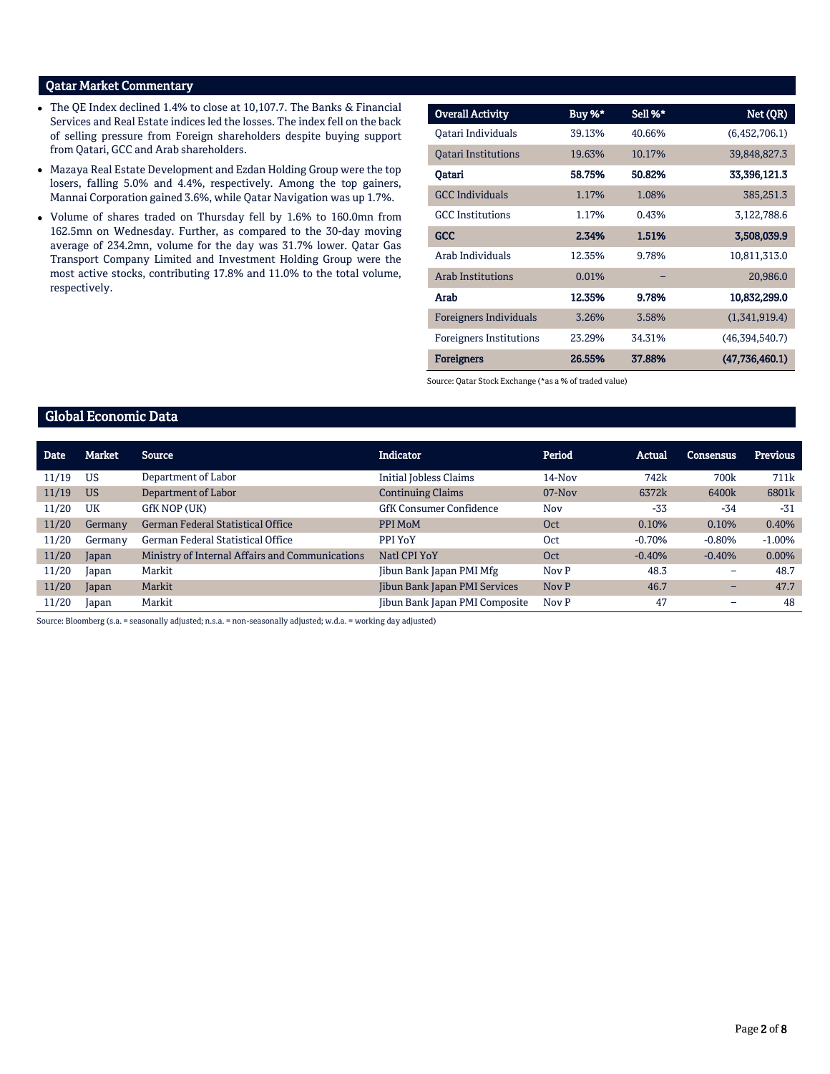# Qatar Market Commentary

- The QE Index declined 1.4% to close at 10,107.7. The Banks & Financial Services and Real Estate indices led the losses. The index fell on the back of selling pressure from Foreign shareholders despite buying support from Qatari, GCC and Arab shareholders.
- Mazaya Real Estate Development and Ezdan Holding Group were the top losers, falling 5.0% and 4.4%, respectively. Among the top gainers, Mannai Corporation gained 3.6%, while Qatar Navigation was up 1.7%.
- Volume of shares traded on Thursday fell by 1.6% to 160.0mn from 162.5mn on Wednesday. Further, as compared to the 30-day moving average of 234.2mn, volume for the day was 31.7% lower. Qatar Gas Transport Company Limited and Investment Holding Group were the most active stocks, contributing 17.8% and 11.0% to the total volume, respectively.

| <b>Overall Activity</b>        | Buy %* | Sell %* | Net (QR)       |
|--------------------------------|--------|---------|----------------|
| Qatari Individuals             | 39.13% | 40.66%  | (6,452,706.1)  |
| <b>Oatari Institutions</b>     | 19.63% | 10.17%  | 39,848,827.3   |
| Qatari                         | 58.75% | 50.82%  | 33,396,121.3   |
| <b>GCC</b> Individuals         | 1.17%  | 1.08%   | 385,251.3      |
| <b>GCC</b> Institutions        | 1.17%  | 0.43%   | 3,122,788.6    |
| <b>GCC</b>                     | 2.34%  | 1.51%   | 3,508,039.9    |
| Arab Individuals               | 12.35% | 9.78%   | 10,811,313.0   |
| <b>Arab Institutions</b>       | 0.01%  |         | 20,986.0       |
| Arab                           | 12.35% | 9.78%   | 10,832,299.0   |
| <b>Foreigners Individuals</b>  | 3.26%  | 3.58%   | (1,341,919.4)  |
| <b>Foreigners Institutions</b> | 23.29% | 34.31%  | (46,394,540.7) |
| <b>Foreigners</b>              | 26.55% | 37.88%  | (47,736,460.1) |

Source: Qatar Stock Exchange (\*as a % of traded value)

## Global Economic Data

| <b>Date</b> | <b>Market</b> | <b>Source</b>                                   | <b>Indicator</b>               | Period   | Actual   | Consensus | <b>Previous</b> |
|-------------|---------------|-------------------------------------------------|--------------------------------|----------|----------|-----------|-----------------|
| 11/19       | <b>US</b>     | Department of Labor                             | <b>Initial Jobless Claims</b>  | 14-Nov   | 742k     | 700k      | 711k            |
| 11/19       | <b>US</b>     | Department of Labor                             | <b>Continuing Claims</b>       | $07-Nov$ | 6372k    | 6400k     | 6801k           |
| 11/20       | UK            | GfK NOP (UK)                                    | <b>GfK Consumer Confidence</b> | Nov      | $-33$    | $-34$     | $-31$           |
| 11/20       | Germany       | <b>German Federal Statistical Office</b>        | PPI MoM                        | Oct      | 0.10%    | 0.10%     | 0.40%           |
| 11/20       | Germany       | German Federal Statistical Office               | PPI YoY                        | Oct      | $-0.70%$ | $-0.80%$  | $-1.00\%$       |
| 11/20       | Japan         | Ministry of Internal Affairs and Communications | Natl CPI YoY                   | Oct      | $-0.40%$ | $-0.40%$  | 0.00%           |
| 11/20       | Japan         | Markit                                          | Jibun Bank Japan PMI Mfg       | Nov P    | 48.3     | -         | 48.7            |
| 11/20       | Japan         | Markit                                          | Jibun Bank Japan PMI Services  | Nov P    | 46.7     | -         | 47.7            |
| 11/20       | Japan         | Markit                                          | Jibun Bank Japan PMI Composite | Nov P    | 47       | -         | 48              |

Source: Bloomberg (s.a. = seasonally adjusted; n.s.a. = non-seasonally adjusted; w.d.a. = working day adjusted)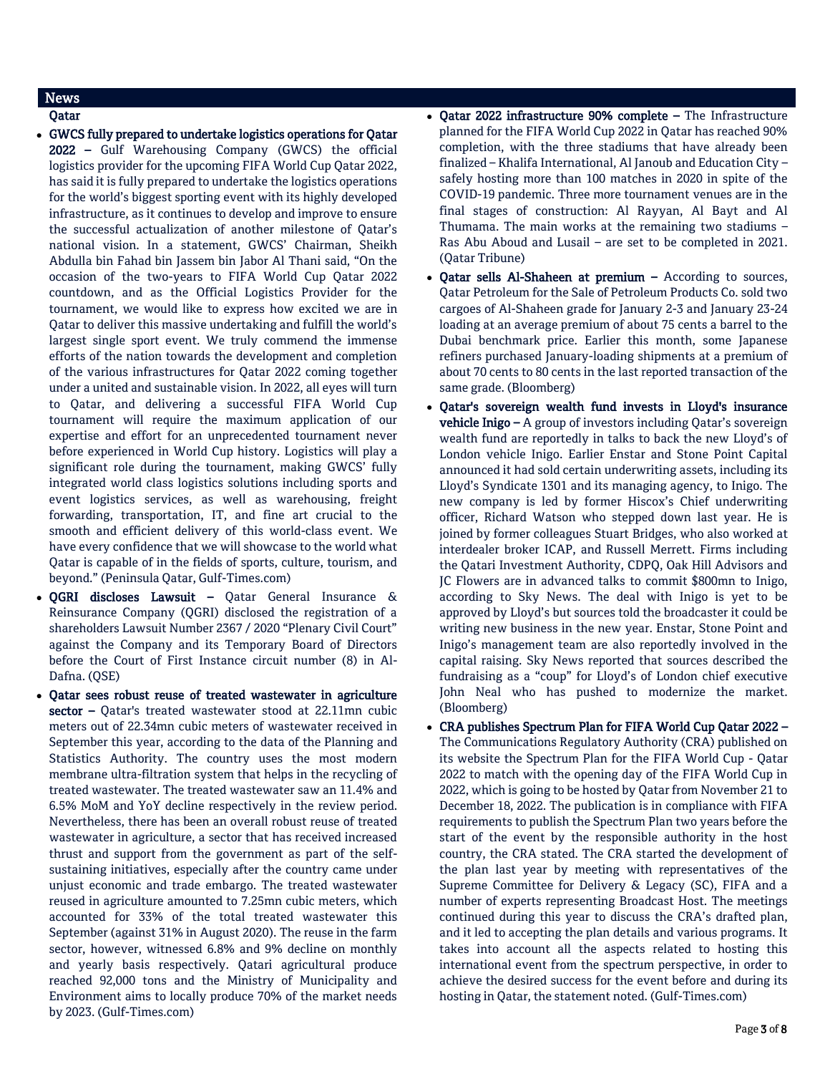# News

- Qatar
- GWCS fully prepared to undertake logistics operations for Qatar 2022 – Gulf Warehousing Company (GWCS) the official logistics provider for the upcoming FIFA World Cup Qatar 2022, has said it is fully prepared to undertake the logistics operations for the world's biggest sporting event with its highly developed infrastructure, as it continues to develop and improve to ensure the successful actualization of another milestone of Qatar's national vision. In a statement, GWCS' Chairman, Sheikh Abdulla bin Fahad bin Jassem bin Jabor Al Thani said, "On the occasion of the two-years to FIFA World Cup Qatar 2022 countdown, and as the Official Logistics Provider for the tournament, we would like to express how excited we are in Qatar to deliver this massive undertaking and fulfill the world's largest single sport event. We truly commend the immense efforts of the nation towards the development and completion of the various infrastructures for Qatar 2022 coming together under a united and sustainable vision. In 2022, all eyes will turn to Qatar, and delivering a successful FIFA World Cup tournament will require the maximum application of our expertise and effort for an unprecedented tournament never before experienced in World Cup history. Logistics will play a significant role during the tournament, making GWCS' fully integrated world class logistics solutions including sports and event logistics services, as well as warehousing, freight forwarding, transportation, IT, and fine art crucial to the smooth and efficient delivery of this world-class event. We have every confidence that we will showcase to the world what Qatar is capable of in the fields of sports, culture, tourism, and beyond." (Peninsula Qatar, Gulf-Times.com)
- QGRI discloses Lawsuit Qatar General Insurance & Reinsurance Company (QGRI) disclosed the registration of a shareholders Lawsuit Number 2367 / 2020 "Plenary Civil Court" against the Company and its Temporary Board of Directors before the Court of First Instance circuit number (8) in Al-Dafna. (QSE)
- Qatar sees robust reuse of treated wastewater in agriculture sector - Qatar's treated wastewater stood at 22.11mn cubic meters out of 22.34mn cubic meters of wastewater received in September this year, according to the data of the Planning and Statistics Authority. The country uses the most modern membrane ultra-filtration system that helps in the recycling of treated wastewater. The treated wastewater saw an 11.4% and 6.5% MoM and YoY decline respectively in the review period. Nevertheless, there has been an overall robust reuse of treated wastewater in agriculture, a sector that has received increased thrust and support from the government as part of the selfsustaining initiatives, especially after the country came under unjust economic and trade embargo. The treated wastewater reused in agriculture amounted to 7.25mn cubic meters, which accounted for 33% of the total treated wastewater this September (against 31% in August 2020). The reuse in the farm sector, however, witnessed 6.8% and 9% decline on monthly and yearly basis respectively. Qatari agricultural produce reached 92,000 tons and the Ministry of Municipality and Environment aims to locally produce 70% of the market needs by 2023. (Gulf-Times.com)
- Qatar 2022 infrastructure 90% complete The Infrastructure planned for the FIFA World Cup 2022 in Qatar has reached 90% completion, with the three stadiums that have already been finalized – Khalifa International, Al Janoub and Education City – safely hosting more than 100 matches in 2020 in spite of the COVID-19 pandemic. Three more tournament venues are in the final stages of construction: Al Rayyan, Al Bayt and Al Thumama. The main works at the remaining two stadiums – Ras Abu Aboud and Lusail – are set to be completed in 2021. (Qatar Tribune)
- Qatar sells Al-Shaheen at premium According to sources, Qatar Petroleum for the Sale of Petroleum Products Co. sold two cargoes of Al-Shaheen grade for January 2-3 and January 23-24 loading at an average premium of about 75 cents a barrel to the Dubai benchmark price. Earlier this month, some Japanese refiners purchased January-loading shipments at a premium of about 70 cents to 80 cents in the last reported transaction of the same grade. (Bloomberg)
- Qatar's sovereign wealth fund invests in Lloyd's insurance vehicle Inigo – A group of investors including Qatar's sovereign wealth fund are reportedly in talks to back the new Lloyd's of London vehicle Inigo. Earlier Enstar and Stone Point Capital announced it had sold certain underwriting assets, including its Lloyd's Syndicate 1301 and its managing agency, to Inigo. The new company is led by former Hiscox's Chief underwriting officer, Richard Watson who stepped down last year. He is joined by former colleagues Stuart Bridges, who also worked at interdealer broker ICAP, and Russell Merrett. Firms including the Qatari Investment Authority, CDPQ, Oak Hill Advisors and JC Flowers are in advanced talks to commit \$800mn to Inigo, according to Sky News. The deal with Inigo is yet to be approved by Lloyd's but sources told the broadcaster it could be writing new business in the new year. Enstar, Stone Point and Inigo's management team are also reportedly involved in the capital raising. Sky News reported that sources described the fundraising as a "coup" for Lloyd's of London chief executive John Neal who has pushed to modernize the market. (Bloomberg)
- CRA publishes Spectrum Plan for FIFA World Cup Qatar 2022 The Communications Regulatory Authority (CRA) published on its website the Spectrum Plan for the FIFA World Cup - Qatar 2022 to match with the opening day of the FIFA World Cup in 2022, which is going to be hosted by Qatar from November 21 to December 18, 2022. The publication is in compliance with FIFA requirements to publish the Spectrum Plan two years before the start of the event by the responsible authority in the host country, the CRA stated. The CRA started the development of the plan last year by meeting with representatives of the Supreme Committee for Delivery & Legacy (SC), FIFA and a number of experts representing Broadcast Host. The meetings continued during this year to discuss the CRA's drafted plan, and it led to accepting the plan details and various programs. It takes into account all the aspects related to hosting this international event from the spectrum perspective, in order to achieve the desired success for the event before and during its hosting in Qatar, the statement noted. (Gulf-Times.com)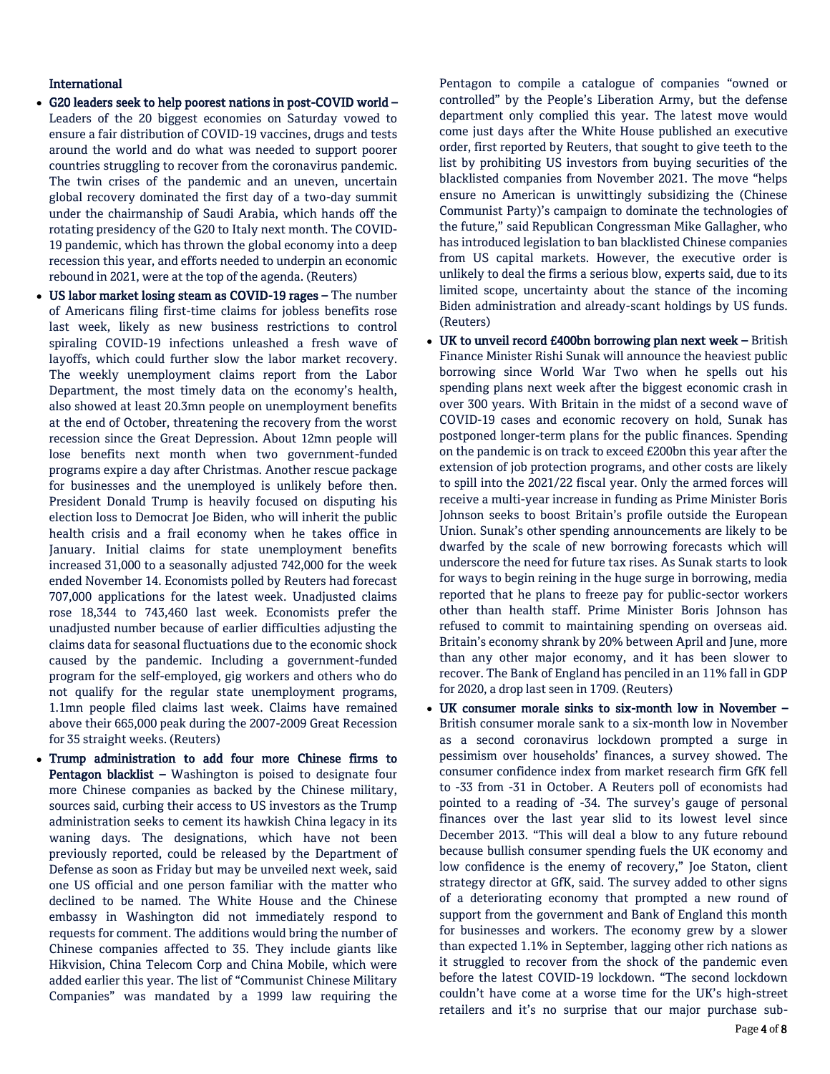### International

- G20 leaders seek to help poorest nations in post-COVID world Leaders of the 20 biggest economies on Saturday vowed to ensure a fair distribution of COVID-19 vaccines, drugs and tests around the world and do what was needed to support poorer countries struggling to recover from the coronavirus pandemic. The twin crises of the pandemic and an uneven, uncertain global recovery dominated the first day of a two-day summit under the chairmanship of Saudi Arabia, which hands off the rotating presidency of the G20 to Italy next month. The COVID-19 pandemic, which has thrown the global economy into a deep recession this year, and efforts needed to underpin an economic rebound in 2021, were at the top of the agenda. (Reuters)
- US labor market losing steam as COVID-19 rages The number of Americans filing first-time claims for jobless benefits rose last week, likely as new business restrictions to control spiraling COVID-19 infections unleashed a fresh wave of layoffs, which could further slow the labor market recovery. The weekly unemployment claims report from the Labor Department, the most timely data on the economy's health, also showed at least 20.3mn people on unemployment benefits at the end of October, threatening the recovery from the worst recession since the Great Depression. About 12mn people will lose benefits next month when two government-funded programs expire a day after Christmas. Another rescue package for businesses and the unemployed is unlikely before then. President Donald Trump is heavily focused on disputing his election loss to Democrat Joe Biden, who will inherit the public health crisis and a frail economy when he takes office in January. Initial claims for state unemployment benefits increased 31,000 to a seasonally adjusted 742,000 for the week ended November 14. Economists polled by Reuters had forecast 707,000 applications for the latest week. Unadjusted claims rose 18,344 to 743,460 last week. Economists prefer the unadjusted number because of earlier difficulties adjusting the claims data for seasonal fluctuations due to the economic shock caused by the pandemic. Including a government-funded program for the self-employed, gig workers and others who do not qualify for the regular state unemployment programs, 1.1mn people filed claims last week. Claims have remained above their 665,000 peak during the 2007-2009 Great Recession for 35 straight weeks. (Reuters)
- Trump administration to add four more Chinese firms to Pentagon blacklist - Washington is poised to designate four more Chinese companies as backed by the Chinese military, sources said, curbing their access to US investors as the Trump administration seeks to cement its hawkish China legacy in its waning days. The designations, which have not been previously reported, could be released by the Department of Defense as soon as Friday but may be unveiled next week, said one US official and one person familiar with the matter who declined to be named. The White House and the Chinese embassy in Washington did not immediately respond to requests for comment. The additions would bring the number of Chinese companies affected to 35. They include giants like Hikvision, China Telecom Corp and China Mobile, which were added earlier this year. The list of "Communist Chinese Military Companies" was mandated by a 1999 law requiring the

Pentagon to compile a catalogue of companies "owned or controlled" by the People's Liberation Army, but the defense department only complied this year. The latest move would come just days after the White House published an executive order, first reported by Reuters, that sought to give teeth to the list by prohibiting US investors from buying securities of the blacklisted companies from November 2021. The move "helps ensure no American is unwittingly subsidizing the (Chinese Communist Party)'s campaign to dominate the technologies of the future," said Republican Congressman Mike Gallagher, who has introduced legislation to ban blacklisted Chinese companies from US capital markets. However, the executive order is unlikely to deal the firms a serious blow, experts said, due to its limited scope, uncertainty about the stance of the incoming Biden administration and already-scant holdings by US funds. (Reuters)

- UK to unveil record £400bn borrowing plan next week British Finance Minister Rishi Sunak will announce the heaviest public borrowing since World War Two when he spells out his spending plans next week after the biggest economic crash in over 300 years. With Britain in the midst of a second wave of COVID-19 cases and economic recovery on hold, Sunak has postponed longer-term plans for the public finances. Spending on the pandemic is on track to exceed £200bn this year after the extension of job protection programs, and other costs are likely to spill into the 2021/22 fiscal year. Only the armed forces will receive a multi-year increase in funding as Prime Minister Boris Johnson seeks to boost Britain's profile outside the European Union. Sunak's other spending announcements are likely to be dwarfed by the scale of new borrowing forecasts which will underscore the need for future tax rises. As Sunak starts to look for ways to begin reining in the huge surge in borrowing, media reported that he plans to freeze pay for public-sector workers other than health staff. Prime Minister Boris Johnson has refused to commit to maintaining spending on overseas aid. Britain's economy shrank by 20% between April and June, more than any other major economy, and it has been slower to recover. The Bank of England has penciled in an 11% fall in GDP for 2020, a drop last seen in 1709. (Reuters)
- UK consumer morale sinks to six-month low in November British consumer morale sank to a six-month low in November as a second coronavirus lockdown prompted a surge in pessimism over households' finances, a survey showed. The consumer confidence index from market research firm GfK fell to -33 from -31 in October. A Reuters poll of economists had pointed to a reading of -34. The survey's gauge of personal finances over the last year slid to its lowest level since December 2013. "This will deal a blow to any future rebound because bullish consumer spending fuels the UK economy and low confidence is the enemy of recovery," Joe Staton, client strategy director at GfK, said. The survey added to other signs of a deteriorating economy that prompted a new round of support from the government and Bank of England this month for businesses and workers. The economy grew by a slower than expected 1.1% in September, lagging other rich nations as it struggled to recover from the shock of the pandemic even before the latest COVID-19 lockdown. "The second lockdown couldn't have come at a worse time for the UK's high-street retailers and it's no surprise that our major purchase sub-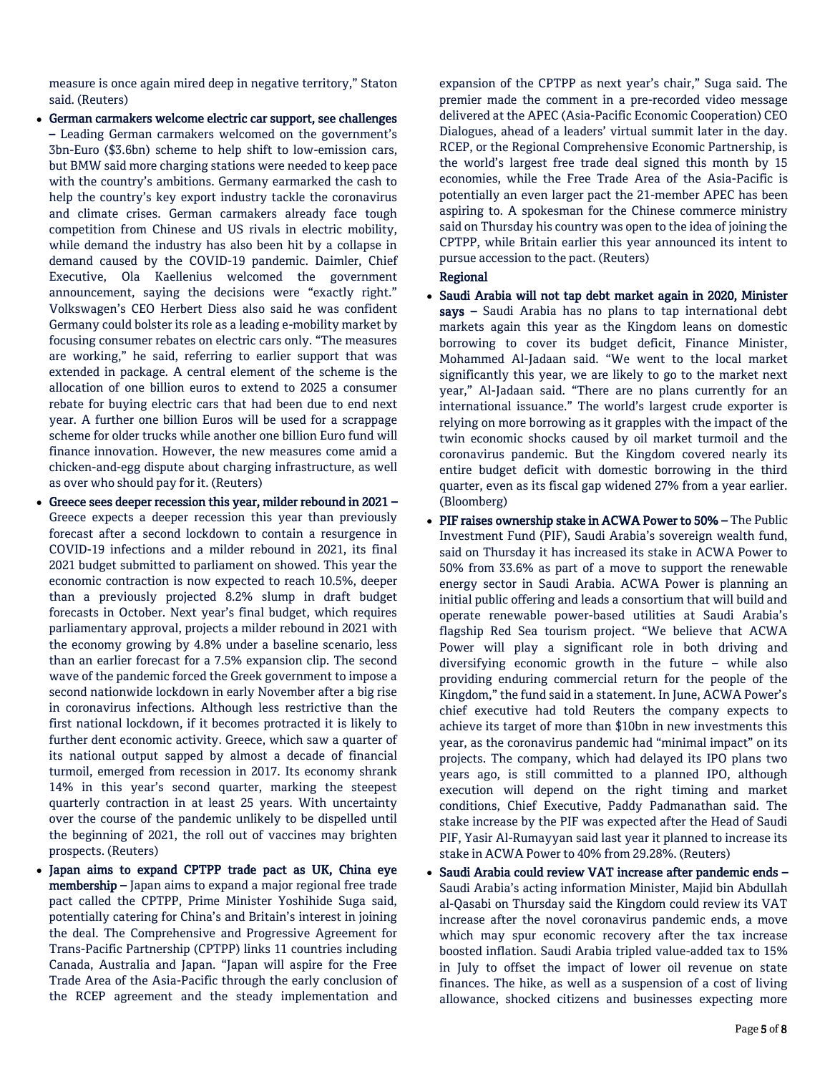measure is once again mired deep in negative territory," Staton said. (Reuters)

- German carmakers welcome electric car support, see challenges – Leading German carmakers welcomed on the government's 3bn-Euro (\$3.6bn) scheme to help shift to low-emission cars, but BMW said more charging stations were needed to keep pace with the country's ambitions. Germany earmarked the cash to help the country's key export industry tackle the coronavirus and climate crises. German carmakers already face tough competition from Chinese and US rivals in electric mobility, while demand the industry has also been hit by a collapse in demand caused by the COVID-19 pandemic. Daimler, Chief Executive, Ola Kaellenius welcomed the government announcement, saying the decisions were "exactly right." Volkswagen's CEO Herbert Diess also said he was confident Germany could bolster its role as a leading e-mobility market by focusing consumer rebates on electric cars only. "The measures are working," he said, referring to earlier support that was extended in package. A central element of the scheme is the allocation of one billion euros to extend to 2025 a consumer rebate for buying electric cars that had been due to end next year. A further one billion Euros will be used for a scrappage scheme for older trucks while another one billion Euro fund will finance innovation. However, the new measures come amid a chicken-and-egg dispute about charging infrastructure, as well as over who should pay for it. (Reuters)
- Greece sees deeper recession this year, milder rebound in 2021 Greece expects a deeper recession this year than previously forecast after a second lockdown to contain a resurgence in COVID-19 infections and a milder rebound in 2021, its final 2021 budget submitted to parliament on showed. This year the economic contraction is now expected to reach 10.5%, deeper than a previously projected 8.2% slump in draft budget forecasts in October. Next year's final budget, which requires parliamentary approval, projects a milder rebound in 2021 with the economy growing by 4.8% under a baseline scenario, less than an earlier forecast for a 7.5% expansion clip. The second wave of the pandemic forced the Greek government to impose a second nationwide lockdown in early November after a big rise in coronavirus infections. Although less restrictive than the first national lockdown, if it becomes protracted it is likely to further dent economic activity. Greece, which saw a quarter of its national output sapped by almost a decade of financial turmoil, emerged from recession in 2017. Its economy shrank 14% in this year's second quarter, marking the steepest quarterly contraction in at least 25 years. With uncertainty over the course of the pandemic unlikely to be dispelled until the beginning of 2021, the roll out of vaccines may brighten prospects. (Reuters)
- Japan aims to expand CPTPP trade pact as UK, China eye membership – Japan aims to expand a major regional free trade pact called the CPTPP, Prime Minister Yoshihide Suga said, potentially catering for China's and Britain's interest in joining the deal. The Comprehensive and Progressive Agreement for Trans-Pacific Partnership (CPTPP) links 11 countries including Canada, Australia and Japan. "Japan will aspire for the Free Trade Area of the Asia-Pacific through the early conclusion of the RCEP agreement and the steady implementation and

expansion of the CPTPP as next year's chair," Suga said. The premier made the comment in a pre-recorded video message delivered at the APEC (Asia-Pacific Economic Cooperation) CEO Dialogues, ahead of a leaders' virtual summit later in the day. RCEP, or the Regional Comprehensive Economic Partnership, is the world's largest free trade deal signed this month by 15 economies, while the Free Trade Area of the Asia-Pacific is potentially an even larger pact the 21-member APEC has been aspiring to. A spokesman for the Chinese commerce ministry said on Thursday his country was open to the idea of joining the CPTPP, while Britain earlier this year announced its intent to pursue accession to the pact. (Reuters)

#### Regional

- Saudi Arabia will not tap debt market again in 2020, Minister says – Saudi Arabia has no plans to tap international debt markets again this year as the Kingdom leans on domestic borrowing to cover its budget deficit, Finance Minister, Mohammed Al-Jadaan said. "We went to the local market significantly this year, we are likely to go to the market next year," Al-Jadaan said. "There are no plans currently for an international issuance." The world's largest crude exporter is relying on more borrowing as it grapples with the impact of the twin economic shocks caused by oil market turmoil and the coronavirus pandemic. But the Kingdom covered nearly its entire budget deficit with domestic borrowing in the third quarter, even as its fiscal gap widened 27% from a year earlier. (Bloomberg)
- PIF raises ownership stake in ACWA Power to 50% The Public Investment Fund (PIF), Saudi Arabia's sovereign wealth fund, said on Thursday it has increased its stake in ACWA Power to 50% from 33.6% as part of a move to support the renewable energy sector in Saudi Arabia. ACWA Power is planning an initial public offering and leads a consortium that will build and operate renewable power-based utilities at Saudi Arabia's flagship Red Sea tourism project. "We believe that ACWA Power will play a significant role in both driving and diversifying economic growth in the future – while also providing enduring commercial return for the people of the Kingdom," the fund said in a statement. In June, ACWA Power's chief executive had told Reuters the company expects to achieve its target of more than \$10bn in new investments this year, as the coronavirus pandemic had "minimal impact" on its projects. The company, which had delayed its IPO plans two years ago, is still committed to a planned IPO, although execution will depend on the right timing and market conditions, Chief Executive, Paddy Padmanathan said. The stake increase by the PIF was expected after the Head of Saudi PIF, Yasir Al-Rumayyan said last year it planned to increase its stake in ACWA Power to 40% from 29.28%. (Reuters)
- Saudi Arabia could review VAT increase after pandemic ends Saudi Arabia's acting information Minister, Majid bin Abdullah al-Qasabi on Thursday said the Kingdom could review its VAT increase after the novel coronavirus pandemic ends, a move which may spur economic recovery after the tax increase boosted inflation. Saudi Arabia tripled value-added tax to 15% in July to offset the impact of lower oil revenue on state finances. The hike, as well as a suspension of a cost of living allowance, shocked citizens and businesses expecting more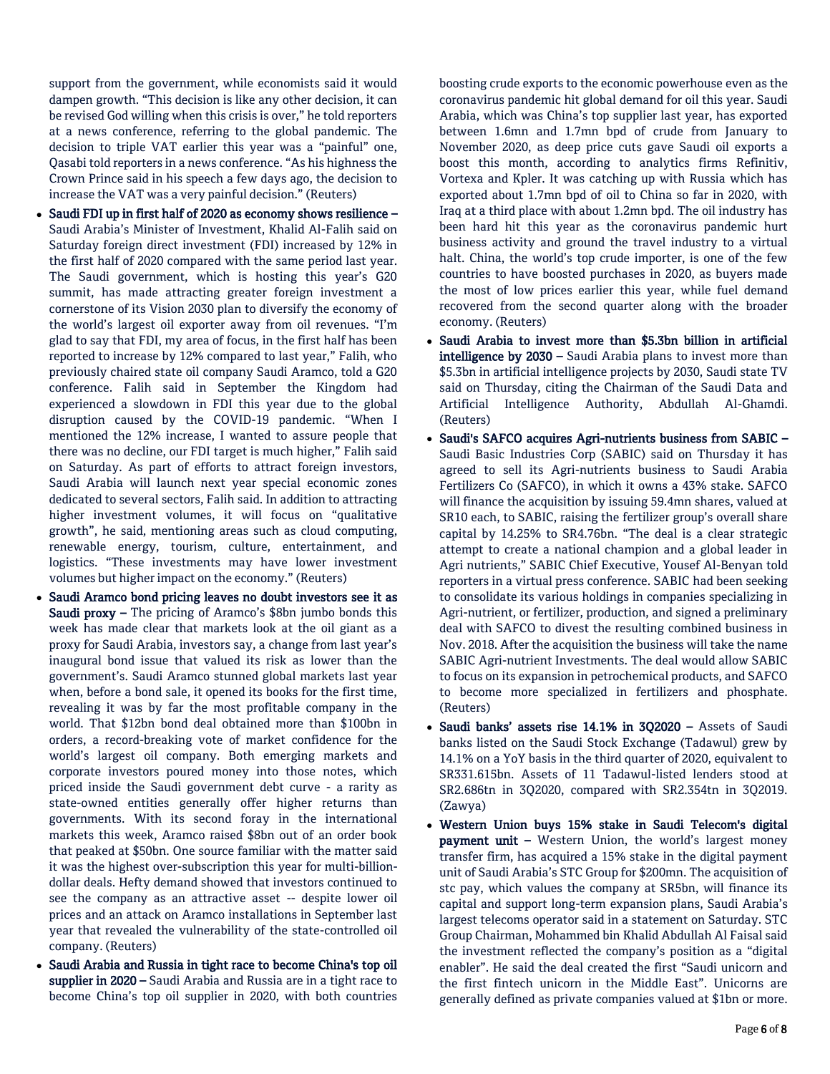support from the government, while economists said it would dampen growth. "This decision is like any other decision, it can be revised God willing when this crisis is over," he told reporters at a news conference, referring to the global pandemic. The decision to triple VAT earlier this year was a "painful" one, Qasabi told reporters in a news conference. "As his highness the Crown Prince said in his speech a few days ago, the decision to increase the VAT was a very painful decision." (Reuters)

- Saudi FDI up in first half of 2020 as economy shows resilience Saudi Arabia's Minister of Investment, Khalid Al-Falih said on Saturday foreign direct investment (FDI) increased by 12% in the first half of 2020 compared with the same period last year. The Saudi government, which is hosting this year's G20 summit, has made attracting greater foreign investment a cornerstone of its Vision 2030 plan to diversify the economy of the world's largest oil exporter away from oil revenues. "I'm glad to say that FDI, my area of focus, in the first half has been reported to increase by 12% compared to last year," Falih, who previously chaired state oil company Saudi Aramco, told a G20 conference. Falih said in September the Kingdom had experienced a slowdown in FDI this year due to the global disruption caused by the COVID-19 pandemic. "When I mentioned the 12% increase, I wanted to assure people that there was no decline, our FDI target is much higher," Falih said on Saturday. As part of efforts to attract foreign investors, Saudi Arabia will launch next year special economic zones dedicated to several sectors, Falih said. In addition to attracting higher investment volumes, it will focus on "qualitative growth", he said, mentioning areas such as cloud computing, renewable energy, tourism, culture, entertainment, and logistics. "These investments may have lower investment volumes but higher impact on the economy." (Reuters)
- Saudi Aramco bond pricing leaves no doubt investors see it as Saudi proxy – The pricing of Aramco's \$8bn jumbo bonds this week has made clear that markets look at the oil giant as a proxy for Saudi Arabia, investors say, a change from last year's inaugural bond issue that valued its risk as lower than the government's. Saudi Aramco stunned global markets last year when, before a bond sale, it opened its books for the first time, revealing it was by far the most profitable company in the world. That \$12bn bond deal obtained more than \$100bn in orders, a record-breaking vote of market confidence for the world's largest oil company. Both emerging markets and corporate investors poured money into those notes, which priced inside the Saudi government debt curve - a rarity as state-owned entities generally offer higher returns than governments. With its second foray in the international markets this week, Aramco raised \$8bn out of an order book that peaked at \$50bn. One source familiar with the matter said it was the highest over-subscription this year for multi-billiondollar deals. Hefty demand showed that investors continued to see the company as an attractive asset -- despite lower oil prices and an attack on Aramco installations in September last year that revealed the vulnerability of the state-controlled oil company. (Reuters)
- Saudi Arabia and Russia in tight race to become China's top oil supplier in 2020 – Saudi Arabia and Russia are in a tight race to become China's top oil supplier in 2020, with both countries

boosting crude exports to the economic powerhouse even as the coronavirus pandemic hit global demand for oil this year. Saudi Arabia, which was China's top supplier last year, has exported between 1.6mn and 1.7mn bpd of crude from January to November 2020, as deep price cuts gave Saudi oil exports a boost this month, according to analytics firms Refinitiv, Vortexa and Kpler. It was catching up with Russia which has exported about 1.7mn bpd of oil to China so far in 2020, with Iraq at a third place with about 1.2mn bpd. The oil industry has been hard hit this year as the coronavirus pandemic hurt business activity and ground the travel industry to a virtual halt. China, the world's top crude importer, is one of the few countries to have boosted purchases in 2020, as buyers made the most of low prices earlier this year, while fuel demand recovered from the second quarter along with the broader economy. (Reuters)

- Saudi Arabia to invest more than \$5.3bn billion in artificial intelligence by 2030 - Saudi Arabia plans to invest more than \$5.3bn in artificial intelligence projects by 2030, Saudi state TV said on Thursday, citing the Chairman of the Saudi Data and Artificial Intelligence Authority, Abdullah Al-Ghamdi. (Reuters)
- Saudi's SAFCO acquires Agri-nutrients business from SABIC Saudi Basic Industries Corp (SABIC) said on Thursday it has agreed to sell its Agri-nutrients business to Saudi Arabia Fertilizers Co (SAFCO), in which it owns a 43% stake. SAFCO will finance the acquisition by issuing 59.4mn shares, valued at SR10 each, to SABIC, raising the fertilizer group's overall share capital by 14.25% to SR4.76bn. "The deal is a clear strategic attempt to create a national champion and a global leader in Agri nutrients," SABIC Chief Executive, Yousef Al-Benyan told reporters in a virtual press conference. SABIC had been seeking to consolidate its various holdings in companies specializing in Agri-nutrient, or fertilizer, production, and signed a preliminary deal with SAFCO to divest the resulting combined business in Nov. 2018. After the acquisition the business will take the name SABIC Agri-nutrient Investments. The deal would allow SABIC to focus on its expansion in petrochemical products, and SAFCO to become more specialized in fertilizers and phosphate. (Reuters)
- Saudi banks' assets rise 14.1% in 3Q2020 Assets of Saudi banks listed on the Saudi Stock Exchange (Tadawul) grew by 14.1% on a YoY basis in the third quarter of 2020, equivalent to SR331.615bn. Assets of 11 Tadawul-listed lenders stood at SR2.686tn in 3Q2020, compared with SR2.354tn in 3Q2019. (Zawya)
- Western Union buys 15% stake in Saudi Telecom's digital **payment unit –** Western Union, the world's largest money transfer firm, has acquired a 15% stake in the digital payment unit of Saudi Arabia's STC Group for \$200mn. The acquisition of stc pay, which values the company at SR5bn, will finance its capital and support long-term expansion plans, Saudi Arabia's largest telecoms operator said in a statement on Saturday. STC Group Chairman, Mohammed bin Khalid Abdullah Al Faisal said the investment reflected the company's position as a "digital enabler". He said the deal created the first "Saudi unicorn and the first fintech unicorn in the Middle East". Unicorns are generally defined as private companies valued at \$1bn or more.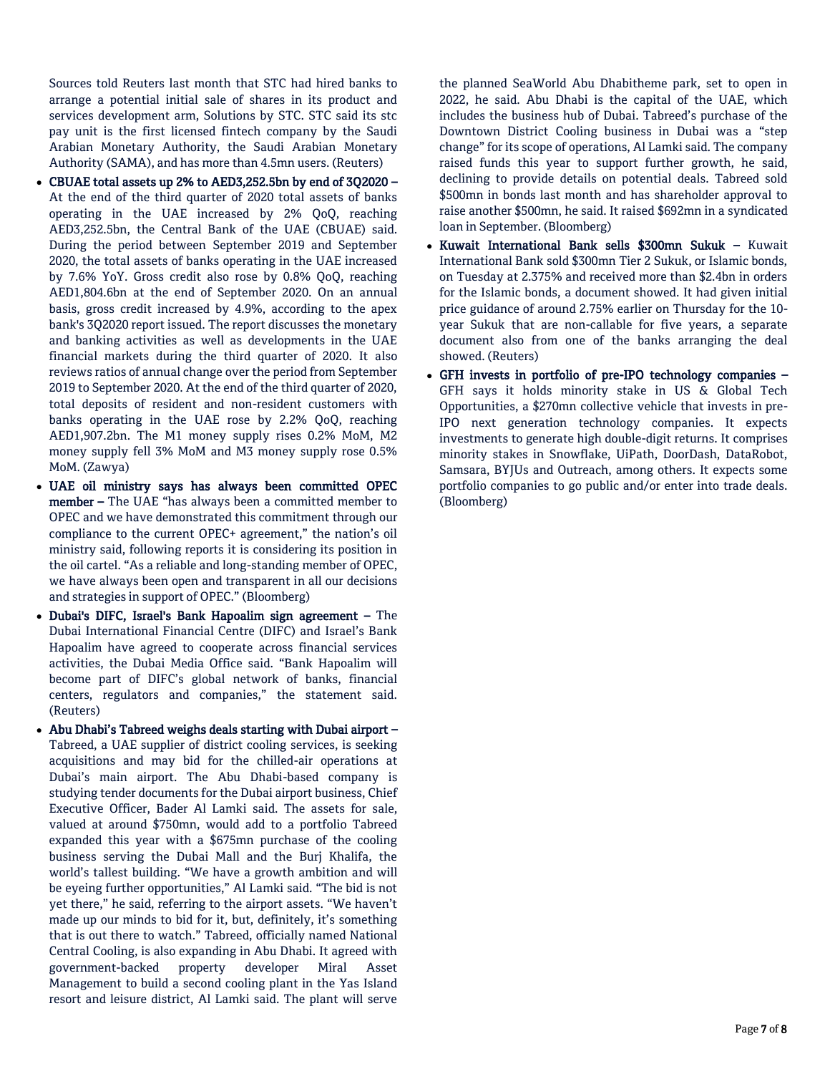Sources told Reuters last month that STC had hired banks to arrange a potential initial sale of shares in its product and services development arm, Solutions by STC. STC said its stc pay unit is the first licensed fintech company by the Saudi Arabian Monetary Authority, the Saudi Arabian Monetary Authority (SAMA), and has more than 4.5mn users. (Reuters)

- CBUAE total assets up 2% to AED3,252.5bn by end of 3Q2020 At the end of the third quarter of 2020 total assets of banks operating in the UAE increased by 2% QoQ, reaching AED3,252.5bn, the Central Bank of the UAE (CBUAE) said. During the period between September 2019 and September 2020, the total assets of banks operating in the UAE increased by 7.6% YoY. Gross credit also rose by 0.8% QoQ, reaching AED1,804.6bn at the end of September 2020. On an annual basis, gross credit increased by 4.9%, according to the apex bank's 3Q2020 report issued. The report discusses the monetary and banking activities as well as developments in the UAE financial markets during the third quarter of 2020. It also reviews ratios of annual change over the period from September 2019 to September 2020. At the end of the third quarter of 2020, total deposits of resident and non-resident customers with banks operating in the UAE rose by 2.2% QoQ, reaching AED1,907.2bn. The M1 money supply rises 0.2% MoM, M2 money supply fell 3% MoM and M3 money supply rose 0.5% MoM. (Zawya)
- UAE oil ministry says has always been committed OPEC member – The UAE "has always been a committed member to OPEC and we have demonstrated this commitment through our compliance to the current OPEC+ agreement," the nation's oil ministry said, following reports it is considering its position in the oil cartel. "As a reliable and long-standing member of OPEC, we have always been open and transparent in all our decisions and strategies in support of OPEC." (Bloomberg)
- Dubai's DIFC, Israel's Bank Hapoalim sign agreement The Dubai International Financial Centre (DIFC) and Israel's Bank Hapoalim have agreed to cooperate across financial services activities, the Dubai Media Office said. "Bank Hapoalim will become part of DIFC's global network of banks, financial centers, regulators and companies," the statement said. (Reuters)
- Abu Dhabi's Tabreed weighs deals starting with Dubai airport Tabreed, a UAE supplier of district cooling services, is seeking acquisitions and may bid for the chilled-air operations at Dubai's main airport. The Abu Dhabi-based company is studying tender documents for the Dubai airport business, Chief Executive Officer, Bader Al Lamki said. The assets for sale, valued at around \$750mn, would add to a portfolio Tabreed expanded this year with a \$675mn purchase of the cooling business serving the Dubai Mall and the Burj Khalifa, the world's tallest building. "We have a growth ambition and will be eyeing further opportunities," Al Lamki said. "The bid is not yet there," he said, referring to the airport assets. "We haven't made up our minds to bid for it, but, definitely, it's something that is out there to watch." Tabreed, officially named National Central Cooling, is also expanding in Abu Dhabi. It agreed with government-backed property developer Miral Asset Management to build a second cooling plant in the Yas Island resort and leisure district, Al Lamki said. The plant will serve

the planned SeaWorld Abu Dhabitheme park, set to open in 2022, he said. Abu Dhabi is the capital of the UAE, which includes the business hub of Dubai. Tabreed's purchase of the Downtown District Cooling business in Dubai was a "step change" for its scope of operations, Al Lamki said. The company raised funds this year to support further growth, he said, declining to provide details on potential deals. Tabreed sold \$500mn in bonds last month and has shareholder approval to raise another \$500mn, he said. It raised \$692mn in a syndicated loan in September. (Bloomberg)

- Kuwait International Bank sells \$300mn Sukuk Kuwait International Bank sold \$300mn Tier 2 Sukuk, or Islamic bonds, on Tuesday at 2.375% and received more than \$2.4bn in orders for the Islamic bonds, a document showed. It had given initial price guidance of around 2.75% earlier on Thursday for the 10 year Sukuk that are non-callable for five years, a separate document also from one of the banks arranging the deal showed. (Reuters)
- GFH invests in portfolio of pre-IPO technology companies GFH says it holds minority stake in US & Global Tech Opportunities, a \$270mn collective vehicle that invests in pre-IPO next generation technology companies. It expects investments to generate high double-digit returns. It comprises minority stakes in Snowflake, UiPath, DoorDash, DataRobot, Samsara, BYJUs and Outreach, among others. It expects some portfolio companies to go public and/or enter into trade deals. (Bloomberg)